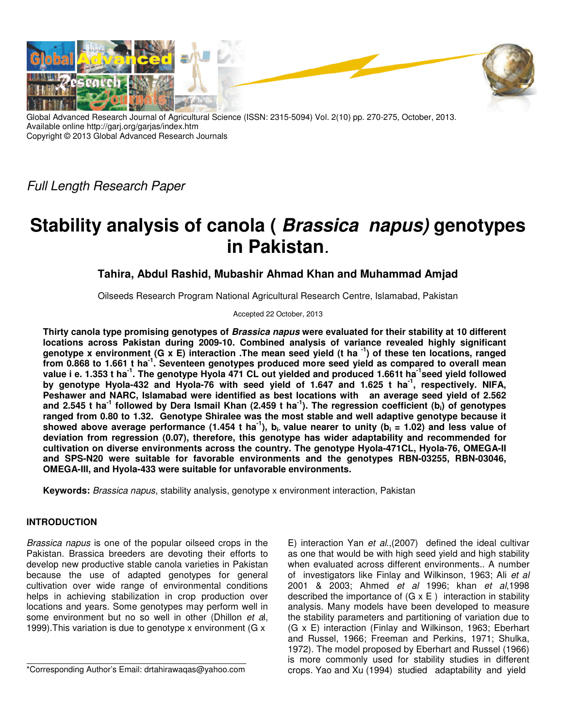

Global Advanced Research Journal of Agricultural Science (ISSN: 2315-5094) Vol. 2(10) pp. 270-275, October, 2013. Available online http://garj.org/garjas/index.htm Copyright © 2013 Global Advanced Research Journals

Full Length Research Paper

# **Stability analysis of canola ( Brassica napus) genotypes in Pakistan**.

**Tahira, Abdul Rashid, Mubashir Ahmad Khan and Muhammad Amjad** 

Oilseeds Research Program National Agricultural Research Centre, Islamabad, Pakistan

Accepted 22 October, 2013

**Thirty canola type promising genotypes of Brassica napus were evaluated for their stability at 10 different locations across Pakistan during 2009-10. Combined analysis of variance revealed highly significant genotype x environment (G x E) interaction .The mean seed yield (t ha -1) of these ten locations, ranged from 0.868 to 1.661 t ha-1. Seventeen genotypes produced more seed yield as compared to overall mean value i e. 1.353 t ha-1. The genotype Hyola 471 CL out yielded and produced 1.661t ha-1seed yield followed by genotype Hyola-432 and Hyola-76 with seed yield of 1.647 and 1.625 t ha-1, respectively. NIFA, Peshawer and NARC, Islamabad were identified as best locations with an average seed yield of 2.562 and 2.545 t ha-1 followed by Dera Ismail Khan (2.459 t ha-1). The regression coefficient (bi) of genotypes ranged from 0.80 to 1.32. Genotype Shiralee was the most stable and well adaptive genotype because it showed above average performance (1.454 t ha-1), bi- value nearer to unity (b<sup>i</sup> = 1.02) and less value of deviation from regression (0.07), therefore, this genotype has wider adaptability and recommended for cultivation on diverse environments across the country. The genotype Hyola-471CL, Hyola-76, OMEGA-II and SPS-N20 were suitable for favorable environments and the genotypes RBN-03255, RBN-03046, OMEGA-III, and Hyola-433 were suitable for unfavorable environments.** 

**Keywords:** Brassica napus, stability analysis, genotype x environment interaction, Pakistan

## **INTRODUCTION**

Brassica napus is one of the popular oilseed crops in the Pakistan. Brassica breeders are devoting their efforts to develop new productive stable canola varieties in Pakistan because the use of adapted genotypes for general cultivation over wide range of environmental conditions helps in achieving stabilization in crop production over locations and years. Some genotypes may perform well in some environment but no so well in other (Dhillon et al, 1999).This variation is due to genotype x environment (G x

\*Corresponding Author's Email: drtahirawaqas@yahoo.com

E) interaction Yan et al.,(2007) defined the ideal cultivar as one that would be with high seed yield and high stability when evaluated across different environments.. A number of investigators like Finlay and Wilkinson, 1963; Ali et al 2001 & 2003; Ahmed et al 1996; khan et al,1998 described the importance of  $(G \times E)$  interaction in stability analysis. Many models have been developed to measure the stability parameters and partitioning of variation due to (G x E) interaction (Finlay and Wilkinson, 1963; Eberhart and Russel, 1966; Freeman and Perkins, 1971; Shulka, 1972). The model proposed by Eberhart and Russel (1966) is more commonly used for stability studies in different crops. Yao and Xu (1994) studied adaptability and yield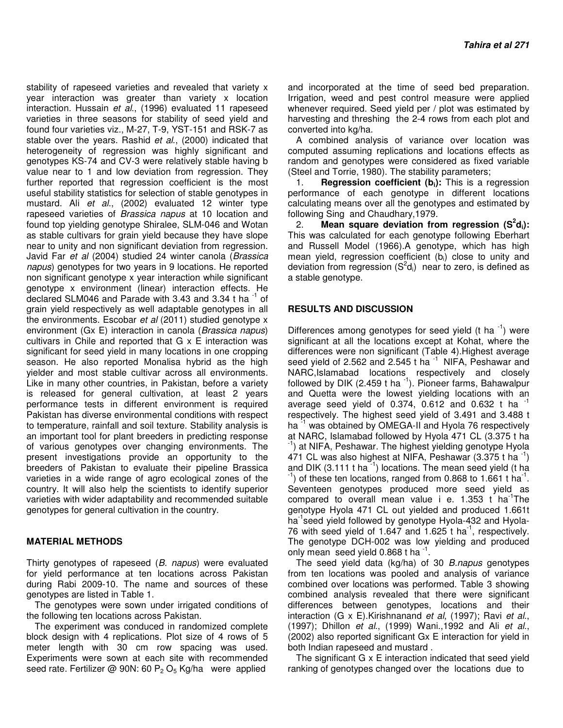stability of rapeseed varieties and revealed that variety x year interaction was greater than variety x location interaction. Hussain et al., (1996) evaluated 11 rapeseed varieties in three seasons for stability of seed yield and found four varieties viz., M-27, T-9, YST-151 and RSK-7 as stable over the years. Rashid et al., (2000) indicated that heterogeneity of regression was highly significant and genotypes KS-74 and CV-3 were relatively stable having b value near to 1 and low deviation from regression. They further reported that regression coefficient is the most useful stability statistics for selection of stable genotypes in mustard. Ali et al., (2002) evaluated 12 winter type rapeseed varieties of Brassica napus at 10 location and found top yielding genotype Shiralee, SLM-046 and Wotan as stable cultivars for grain yield because they have slope near to unity and non significant deviation from regression. Javid Far et al (2004) studied 24 winter canola (Brassica napus) genotypes for two years in 9 locations. He reported non significant genotype x year interaction while significant genotype x environment (linear) interaction effects. He declared SLM046 and Parade with 3.43 and 3.34 t ha<sup>-1</sup> of grain yield respectively as well adaptable genotypes in all the environments. Escobar et al (2011) studied genotype x environment (Gx E) interaction in canola (Brassica napus) cultivars in Chile and reported that G x E interaction was significant for seed yield in many locations in one cropping season. He also reported Monalisa hybrid as the high yielder and most stable cultivar across all environments. Like in many other countries, in Pakistan, before a variety is released for general cultivation, at least 2 years performance tests in different environment is required Pakistan has diverse environmental conditions with respect to temperature, rainfall and soil texture. Stability analysis is an important tool for plant breeders in predicting response of various genotypes over changing environments. The present investigations provide an opportunity to the breeders of Pakistan to evaluate their pipeline Brassica varieties in a wide range of agro ecological zones of the country. It will also help the scientists to identify superior varieties with wider adaptability and recommended suitable genotypes for general cultivation in the country.

#### **MATERIAL METHODS**

Thirty genotypes of rapeseed (B. napus) were evaluated for yield performance at ten locations across Pakistan during Rabi 2009-10. The name and sources of these genotypes are listed in Table 1.

The genotypes were sown under irrigated conditions of the following ten locations across Pakistan.

The experiment was conduced in randomized complete block design with 4 replications. Plot size of 4 rows of 5 meter length with 30 cm row spacing was used. Experiments were sown at each site with recommended seed rate. Fertilizer @ 90N: 60  $P_2 O_5$  Kg/ha were applied

and incorporated at the time of seed bed preparation. Irrigation, weed and pest control measure were applied whenever required. Seed yield per / plot was estimated by harvesting and threshing the 2-4 rows from each plot and converted into kg/ha.

A combined analysis of variance over location was computed assuming replications and locations effects as random and genotypes were considered as fixed variable (Steel and Torrie, 1980). The stability parameters;

1. **Regression coefficient (bi):** This is a regression performance of each genotype in different locations calculating means over all the genotypes and estimated by following Sing and Chaudhary,1979.

2. **Mean square deviation from regression (S<sup>2</sup> di):** This was calculated for each genotype following Eberhart and Russell Model (1966).A genotype, which has high mean yield, regression coefficient  $(b<sub>i</sub>)$  close to unity and deviation from regression  $(S^2d_i)$  near to zero, is defined as a stable genotype.

### **RESULTS AND DISCUSSION**

Differences among genotypes for seed yield (t ha  $^{-1}$ ) were significant at all the locations except at Kohat, where the differences were non significant (Table 4).Highest average seed yield of 2.562 and 2.545 t ha<sup>-1</sup> NIFA, Peshawar and NARC,Islamabad locations respectively and closely followed by DIK (2.459 t ha -1). Pioneer farms, Bahawalpur and Quetta were the lowest yielding locations with an average seed yield of  $0.374$ ,  $0.612$  and  $0.632$  t ha respectively. The highest seed yield of 3.491 and 3.488 t ha<sup>-1</sup> was obtained by OMEGA-II and Hyola 76 respectively at NARC, Islamabad followed by Hyola 471 CL (3.375 t ha <sup>-1</sup>) at NIFA, Peshawar. The highest yielding genotype Hyola 471 CL was also highest at NIFA, Peshawar  $(3.375 t \text{ ha}^{-1})$ and DIK  $(3.111 \text{ t} \text{ ha}^{-1})$  locations. The mean seed yield (t ha  $^{-1}$ ) of these ten locations, ranged from 0.868 to 1.661 t ha $^{-1}$ . Seventeen genotypes produced more seed yield as compared to overall mean value  $i$  e. 1.353 t ha<sup>-1</sup>The genotype Hyola 471 CL out yielded and produced 1.661t ha<sup>-1</sup>seed yield followed by genotype Hyola-432 and Hyola-76 with seed yield of 1.647 and 1.625 t ha<sup>-1</sup>, respectively. The genotype DCH-002 was low yielding and produced only mean seed yield 0.868 t ha .

The seed yield data (kg/ha) of 30 B.napus genotypes from ten locations was pooled and analysis of variance combined over locations was performed. Table 3 showing combined analysis revealed that there were significant differences between genotypes, locations and their interaction (G x E). Kirishnanand et al, (1997); Ravi et al., (1997); Dhillon et al., (1999) Wani.,1992 and Ali et al., (2002) also reported significant Gx E interaction for yield in both Indian rapeseed and mustard .

The significant G x E interaction indicated that seed yield ranking of genotypes changed over the locations due to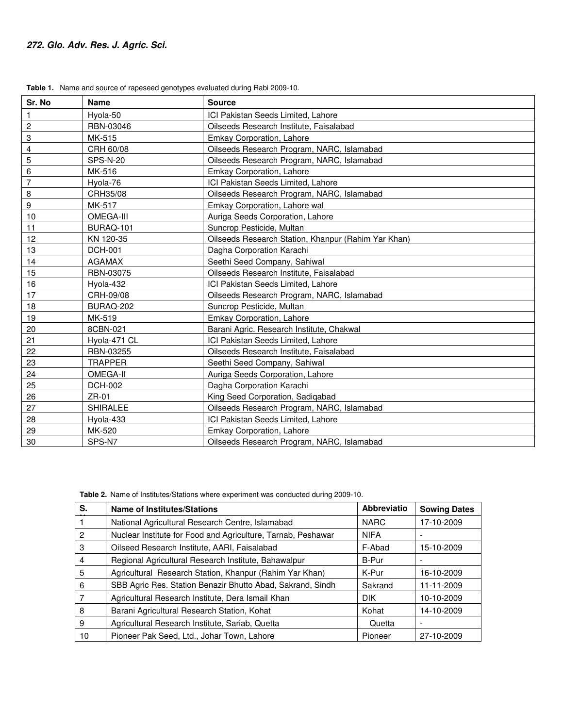| Sr. No           | Name             | <b>Source</b>                                       |
|------------------|------------------|-----------------------------------------------------|
| 1                | Hyola-50         | ICI Pakistan Seeds Limited, Lahore                  |
| $\boldsymbol{2}$ | RBN-03046        | Oilseeds Research Institute, Faisalabad             |
| 3                | MK-515           | Emkay Corporation, Lahore                           |
| 4                | CRH 60/08        | Oilseeds Research Program, NARC, Islamabad          |
| 5                | <b>SPS-N-20</b>  | Oilseeds Research Program, NARC, Islamabad          |
| 6                | MK-516           | Emkay Corporation, Lahore                           |
| $\overline{7}$   | Hyola-76         | ICI Pakistan Seeds Limited, Lahore                  |
| 8                | CRH35/08         | Oilseeds Research Program, NARC, Islamabad          |
| 9                | MK-517           | Emkay Corporation, Lahore wal                       |
| 10               | <b>OMEGA-III</b> | Auriga Seeds Corporation, Lahore                    |
| 11               | BURAQ-101        | Suncrop Pesticide, Multan                           |
| 12               | KN 120-35        | Oilseeds Research Station, Khanpur (Rahim Yar Khan) |
| 13               | <b>DCH-001</b>   | Dagha Corporation Karachi                           |
| 14               | <b>AGAMAX</b>    | Seethi Seed Company, Sahiwal                        |
| 15               | RBN-03075        | Oilseeds Research Institute, Faisalabad             |
| 16               | Hyola-432        | ICI Pakistan Seeds Limited, Lahore                  |
| 17               | CRH-09/08        | Oilseeds Research Program, NARC, Islamabad          |
| 18               | BURAQ-202        | Suncrop Pesticide, Multan                           |
| 19               | MK-519           | Emkay Corporation, Lahore                           |
| 20               | 8CBN-021         | Barani Agric. Research Institute, Chakwal           |
| 21               | Hyola-471 CL     | ICI Pakistan Seeds Limited. Lahore                  |
| 22               | RBN-03255        | Oilseeds Research Institute, Faisalabad             |
| 23               | <b>TRAPPER</b>   | Seethi Seed Company, Sahiwal                        |
| 24               | <b>OMEGA-II</b>  | Auriga Seeds Corporation, Lahore                    |
| 25               | <b>DCH-002</b>   | Dagha Corporation Karachi                           |
| 26               | ZR-01            | King Seed Corporation, Sadiqabad                    |
| 27               | <b>SHIRALEE</b>  | Oilseeds Research Program, NARC, Islamabad          |
| 28               | Hyola-433        | ICI Pakistan Seeds Limited, Lahore                  |
| 29               | MK-520           | Emkay Corporation, Lahore                           |
| 30               | SPS-N7           | Oilseeds Research Program, NARC, Islamabad          |

**Table 1.** Name and source of rapeseed genotypes evaluated during Rabi 2009-10.

**Table 2.** Name of Institutes/Stations where experiment was conducted during 2009-10.

| S.             | <b>Name of Institutes/Stations</b>                           | <b>Abbreviatio</b> | <b>Sowing Dates</b>      |
|----------------|--------------------------------------------------------------|--------------------|--------------------------|
|                | National Agricultural Research Centre, Islamabad             | <b>NARC</b>        | 17-10-2009               |
| $\overline{c}$ | Nuclear Institute for Food and Agriculture, Tarnab, Peshawar | <b>NIFA</b>        | ٠                        |
| 3              | Oilseed Research Institute, AARI, Faisalabad                 | F-Abad             | 15-10-2009               |
| 4              | Regional Agricultural Research Institute, Bahawalpur         | B-Pur              |                          |
| 5              | Agricultural Research Station, Khanpur (Rahim Yar Khan)      | K-Pur              | 16-10-2009               |
| 6              | SBB Agric Res. Station Benazir Bhutto Abad, Sakrand, Sindh   | Sakrand            | 11-11-2009               |
| 7              | Agricultural Research Institute, Dera Ismail Khan            | DIK.               | 10-10-2009               |
| 8              | Barani Agricultural Research Station, Kohat                  | Kohat              | 14-10-2009               |
| 9              | Agricultural Research Institute, Sariab, Quetta              | Quetta             | $\overline{\phantom{a}}$ |
| 10             | Pioneer Pak Seed, Ltd., Johar Town, Lahore                   | Pioneer            | 27-10-2009               |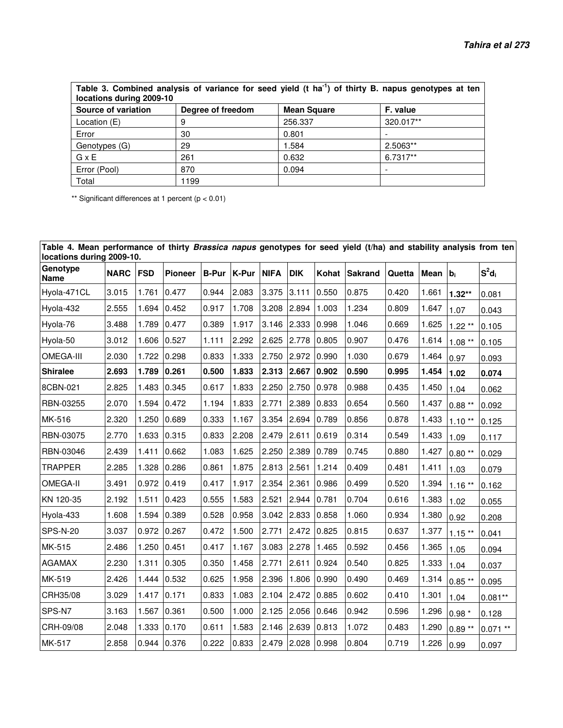| Table 3. Combined analysis of variance for seed yield (t ha <sup>-1</sup> ) of thirty B. napus genotypes at ten<br>locations during 2009-10 |                   |                    |            |  |  |  |  |  |  |  |
|---------------------------------------------------------------------------------------------------------------------------------------------|-------------------|--------------------|------------|--|--|--|--|--|--|--|
| Source of variation                                                                                                                         | Degree of freedom | <b>Mean Square</b> | F. value   |  |  |  |  |  |  |  |
| Location (E)                                                                                                                                | 9                 | 256.337            | 320.017**  |  |  |  |  |  |  |  |
| Error                                                                                                                                       | 30                | 0.801              |            |  |  |  |  |  |  |  |
| Genotypes (G)                                                                                                                               | 29                | 1.584              | 2.5063**   |  |  |  |  |  |  |  |
| GxE                                                                                                                                         | 261               | 0.632              | $6.7317**$ |  |  |  |  |  |  |  |
| Error (Pool)                                                                                                                                | 870               | 0.094              |            |  |  |  |  |  |  |  |
| Total                                                                                                                                       | 1199              |                    |            |  |  |  |  |  |  |  |

\*\* Significant differences at 1 percent (p < 0.01)

| Table 4. Mean performance of thirty Brassica napus genotypes for seed yield (t/ha) and stability analysis from ten<br>locations during 2009-10. |             |               |                |             |       |             |               |       |               |        |           |          |            |
|-------------------------------------------------------------------------------------------------------------------------------------------------|-------------|---------------|----------------|-------------|-------|-------------|---------------|-------|---------------|--------|-----------|----------|------------|
| Genotype<br><b>Name</b>                                                                                                                         | <b>NARC</b> | <b>FSD</b>    | <b>Pioneer</b> | B-Pur K-Pur |       | <b>NIFA</b> | <b>DIK</b>    |       | Kohat Sakrand | Quetta | lMean ∣b⊦ |          | $S^2d_i$   |
| Hyola-471CL                                                                                                                                     | 3.015       | 1.761         | 0.477          | 0.944       | 2.083 | 3.375       | 3.111         | 0.550 | 0.875         | 0.420  | 1.661     | $1.32**$ | 0.081      |
| Hyola-432                                                                                                                                       | 2.555       | 1.694         | 0.452          | 0.917       | 1.708 | 3.208       | 2.894         | 1.003 | 1.234         | 0.809  | 1.647     | 1.07     | 0.043      |
| Hyola-76                                                                                                                                        | 3.488       | 1.789         | 0.477          | 0.389       | 1.917 | 3.146       | 2.333         | 0.998 | 1.046         | 0.669  | 1.625     | $1.22**$ | 0.105      |
| Hyola-50                                                                                                                                        | 3.012       | 1.606         | 0.527          | 1.111       | 2.292 | 2.625       | 2.778         | 0.805 | 0.907         | 0.476  | 1.614     | $1.08**$ | 0.105      |
| <b>OMEGA-III</b>                                                                                                                                | 2.030       | 1.722         | 0.298          | 0.833       | 1.333 | 2.750       | 2.972         | 0.990 | 1.030         | 0.679  | 1.464     | 0.97     | 0.093      |
| <b>Shiralee</b>                                                                                                                                 | 2.693       | 1.789         | 0.261          | 0.500       | 1.833 | 2.313       | 2.667         | 0.902 | 0.590         | 0.995  | 1.454     | 1.02     | 0.074      |
| 8CBN-021                                                                                                                                        | 2.825       | 1.483         | 0.345          | 0.617       | 1.833 | 2.250       | 2.750         | 0.978 | 0.988         | 0.435  | 1.450     | 1.04     | 0.062      |
| RBN-03255                                                                                                                                       | 2.070       | 1.594         | 0.472          | 1.194       | 1.833 | 2.771       | 2.389         | 0.833 | 0.654         | 0.560  | 1.437     | $0.88**$ | 0.092      |
| MK-516                                                                                                                                          | 2.320       | 1.250         | 0.689          | 0.333       | 1.167 | 3.354       | 2.694         | 0.789 | 0.856         | 0.878  | 1.433     | $1.10**$ | 0.125      |
| RBN-03075                                                                                                                                       | 2.770       | 1.633         | 0.315          | 0.833       | 2.208 | 2.479       | 2.611         | 0.619 | 0.314         | 0.549  | 1.433     | 1.09     | 0.117      |
| RBN-03046                                                                                                                                       | 2.439       | 1.411         | 0.662          | 1.083       | 1.625 | 2.250       | 2.389         | 0.789 | 0.745         | 0.880  | 1.427     | $0.80**$ | 0.029      |
| <b>TRAPPER</b>                                                                                                                                  | 2.285       | 1.328         | 0.286          | 0.861       | 1.875 | 2.813       | 2.561         | 1.214 | 0.409         | 0.481  | 1.411     | 1.03     | 0.079      |
| OMEGA-II                                                                                                                                        | 3.491       | 0.972         | 0.419          | 0.417       | 1.917 | 2.354       | 2.361         | 0.986 | 0.499         | 0.520  | 1.394     | $1.16**$ | 0.162      |
| KN 120-35                                                                                                                                       | 2.192       | 1.511         | 0.423          | 0.555       | 1.583 | 2.521       | 2.944         | 0.781 | 0.704         | 0.616  | 1.383     | 1.02     | 0.055      |
| Hyola-433                                                                                                                                       | 1.608       | 1.594         | 0.389          | 0.528       | 0.958 | 3.042       | 2.833         | 0.858 | 1.060         | 0.934  | 1.380     | 0.92     | 0.208      |
| <b>SPS-N-20</b>                                                                                                                                 | 3.037       | 0.972         | 0.267          | 0.472       | 1.500 | 2.771       | 2.472         | 0.825 | 0.815         | 0.637  | 1.377     | $1.15**$ | 0.041      |
| MK-515                                                                                                                                          | 2.486       | 1.250         | 0.451          | 0.417       | 1.167 | 3.083       | 2.278         | 1.465 | 0.592         | 0.456  | 1.365     | 1.05     | 0.094      |
| <b>AGAMAX</b>                                                                                                                                   | 2.230       | 1.311         | 0.305          | 0.350       | 1.458 | 2.771       | 2.611         | 0.924 | 0.540         | 0.825  | 1.333     | 1.04     | 0.037      |
| MK-519                                                                                                                                          | 2.426       | 1.444         | 0.532          | 0.625       | 1.958 | 2.396       | 1.806         | 0.990 | 0.490         | 0.469  | 1.314     | $0.85**$ | 0.095      |
| CRH35/08                                                                                                                                        | 3.029       | 1.417         | 0.171          | 0.833       | 1.083 | 2.104       | 2.472         | 0.885 | 0.602         | 0.410  | 1.301     | 1.04     | $0.081**$  |
| SPS-N7                                                                                                                                          | 3.163       | 1.567         | 0.361          | 0.500       | 1.000 | 2.125       | 2.056         | 0.646 | 0.942         | 0.596  | 1.296     | $0.98*$  | 0.128      |
| CRH-09/08                                                                                                                                       | 2.048       | 1.333         | 0.170          | 0.611       | 1.583 | 2.146       | 2.639         | 0.813 | 1.072         | 0.483  | 1.290     | $0.89**$ | $0.071$ ** |
| MK-517                                                                                                                                          | 2.858       | $0.944$ 0.376 |                | 0.222       | 0.833 |             | $2.479$ 2.028 | 0.998 | 0.804         | 0.719  | 1.226     | 0.99     | 0.097      |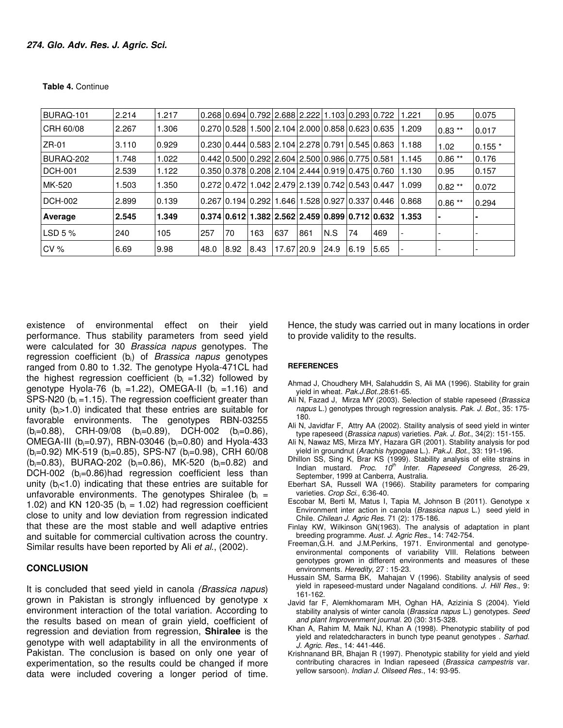**Table 4.** Continue

| BURAQ-101      | 2.214 | 1.217 |                                                               |      |      |            |     | 0.26810.69410.79212.68812.22211.10310.29310.722 |      |      | 1.221 | 0.95      | 0.075    |
|----------------|-------|-------|---------------------------------------------------------------|------|------|------------|-----|-------------------------------------------------|------|------|-------|-----------|----------|
| CRH 60/08      | 2.267 | 1.306 | l0.270l0.528l1.500l2.104l2.000l0.858l0.623l0.635              |      |      |            |     |                                                 |      |      | 1.209 | $0.83$ ** | 0.017    |
| ZR-01          | 3.110 | 0.929 | 0.230 0.444 0.583 2.104 2.278 0.791 0.545 0.863               |      |      |            |     |                                                 |      |      | 1.188 | 1.02      | $0.155*$ |
| BURAQ-202      | 1.748 | 1.022 | l0.442l0.500l0.292l2.604l2.500l0.986l0.775l0.581              |      |      |            |     |                                                 |      |      | 1.145 | $0.86**$  | 0.176    |
| <b>DCH-001</b> | 2.539 | 1.122 |                                                               |      |      |            |     | 0.35010.37810.20812.10412.44410.91910.47510.760 |      |      | 1.130 | 0.95      | 0.157    |
| MK-520         | 1.503 | 1.350 | l0.272l0.472l1.042l2.479l2.139l0.742l0.543l0.447              |      |      |            |     |                                                 |      |      | 1.099 | $0.82**$  | 0.072    |
| DCH-002        | 2.899 | 0.139 | l0.267l0.194l0.292l1.646l1.528l0.927l0.337l0.446              |      |      |            |     |                                                 |      |      | 0.868 | $0.86**$  | 0.294    |
| Average        | 2.545 | 1.349 | 0.374   0.612   1.382   2.562   2.459   0.899   0.712   0.632 |      |      |            |     |                                                 |      |      | 1.353 |           |          |
| LSD 5 $%$      | 240   | 105   | 257                                                           | 70   | 163  | 637        | 861 | N.S                                             | 74   | 469  |       |           |          |
| CV%            | 6.69  | 9.98  | 48.0                                                          | 8.92 | 8.43 | 17.67 20.9 |     | 24.9                                            | 6.19 | 5.65 |       |           |          |

existence of environmental effect on their yield performance. Thus stability parameters from seed yield were calculated for 30 Brassica napus genotypes. The regression coefficient  $(b_i)$  of Brassica napus genotypes ranged from 0.80 to 1.32. The genotype Hyola-471CL had the highest regression coefficient ( $b_i = 1.32$ ) followed by genotype Hyola-76 ( $b_i = 1.22$ ), OMEGA-II ( $b_i = 1.16$ ) and SPS-N20 ( $b_i = 1.15$ ). The regression coefficient greater than unity  $(b_i>1.0)$  indicated that these entries are suitable for favorable environments. The genotypes RBN-03255  $(b_i=0.88)$ , CRH-09/08  $(b_i=0.89)$ , DCH-002  $(b_i=0.86)$ , OMEGA-III ( $b_i=0.97$ ), RBN-03046 ( $b_i=0.80$ ) and Hyola-433  $(b_i=0.92)$  MK-519  $(b_i=0.85)$ , SPS-N7  $(b_i=0.98)$ , CRH 60/08  $(b_i=0.83)$ , BURAQ-202 (b<sub>i</sub>=0.86), MK-520 (b<sub>i</sub>=0.82) and DCH-002 ( $b_i=0.86$ )had regression coefficient less than unity ( $b_i$ <1.0) indicating that these entries are suitable for unfavorable environments. The genotypes Shiralee ( $b_i =$ 1.02) and KN 120-35 ( $b_i = 1.02$ ) had regression coefficient close to unity and low deviation from regression indicated that these are the most stable and well adaptive entries and suitable for commercial cultivation across the country. Similar results have been reported by Ali et al., (2002).

### **CONCLUSION**

It is concluded that seed yield in canola (Brassica napus) grown in Pakistan is strongly influenced by genotype x environment interaction of the total variation. According to the results based on mean of grain yield, coefficient of regression and deviation from regression, **Shiralee** is the genotype with well adaptability in all the environments of Pakistan. The conclusion is based on only one year of experimentation, so the results could be changed if more data were included covering a longer period of time. Hence, the study was carried out in many locations in order to provide validity to the results.

#### **REFERENCES**

- Ahmad J, Choudhery MH, Salahuddin S, Ali MA (1996). Stability for grain yield in wheat. Pak.J.Bot., 28:61-65.
- Ali N, Fazad J, Mirza MY (2003). Selection of stable rapeseed (Brassica napus L.) genotypes through regression analysis. Pak. J. Bot., 35: 175- 180.
- Ali N, Javidfar F, Attry AA (2002). Staility analysis of seed yield in winter type rapeseed (Brassica napus) varieties. Pak. J. Bot., 34(2): 151-155.
- Ali N, Nawaz MS, Mirza MY, Hazara GR (2001). Stability analysis for pod yield in groundnut (Arachis hypogaea L.). Pak.J. Bot., 33: 191-196.
- Dhillon SS, Sing K, Brar KS (1999). Stability analysis of elite strains in Indian mustard. Proc.  $10<sup>th</sup>$  Inter. Rapeseed Congress, 26-29, September, 1999 at Canberra, Australia.
- Eberhart SA, Russell WA (1966). Stability parameters for comparing varieties. Crop Sci., 6:36-40.
- Escobar M, Berti M, Matus I, Tapia M, Johnson B (2011). Genotype x Environment inter action in canola (Brassica napus L.) seed yield in Chile. Chilean J. Agric Res. 71 (2): 175-186.
- Finlay KW, Wilkinson GN(1963). The analysis of adaptation in plant breeding programme. Aust. J. Agric Res., 14: 742-754.
- Freeman,G.H. and J.M.Perkins, 1971. Environmental and genotypeenvironmental components of variability VIII. Relations between genotypes grown in different environments and measures of these environments. Heredity, 27 : 15-23.
- Hussain SM, Sarma BK, Mahajan V (1996). Stability analysis of seed yield in rapeseed-mustard under Nagaland conditions. J. Hill Res., 9: 161-162.
- Javid far F, Alemkhomaram MH, Oghan HA, Azizinia S (2004). Yield stability analysis of winter canola (Brassica napus L.) genotypes. Seed and plant Improvenment journal. 20 (30: 315-328.
- Khan A, Rahim M, Maik NJ, Khan A (1998). Phenotypic stability of pod yield and relatedcharacters in bunch type peanut genotypes. Sarhad. J. Agric. Res., 14: 441-446.
- Krishnanand BR, Bhajan R (1997). Phenotypic stability for yield and yield contributing characres in Indian rapeseed (Brassica campestris var. yellow sarsoon). Indian J. Oilseed Res., 14: 93-95.